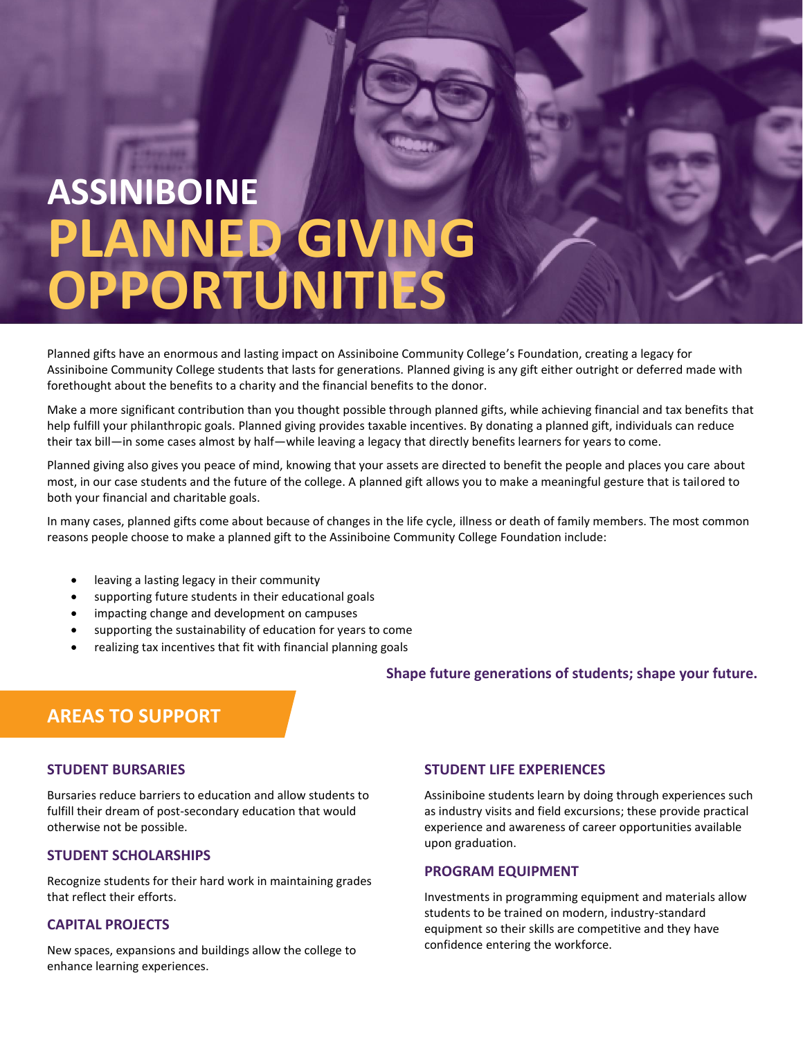# **ASSINIBOINE PLANNED GIVING OPPORTUNITIES**

Planned gifts have an enormous and lasting impact on Assiniboine Community College's Foundation, creating a legacy for Assiniboine Community College students that lasts for generations. Planned giving is any gift either outright or deferred made with forethought about the benefits to a charity and the financial benefits to the donor.

Make a more significant contribution than you thought possible through planned gifts, while achieving financial and tax benefits that help fulfill your philanthropic goals. Planned giving provides taxable incentives. By donating a planned gift, individuals can reduce their tax bill—in some cases almost by half—while leaving a legacy that directly benefits learners for years to come.

Planned giving also gives you peace of mind, knowing that your assets are directed to benefit the people and places you care about most, in our case students and the future of the college. A planned gift allows you to make a meaningful gesture that is tailored to both your financial and charitable goals.

In many cases, planned gifts come about because of changes in the life cycle, illness or death of family members. The most common reasons people choose to make a planned gift to the Assiniboine Community College Foundation include:

- leaving a lasting legacy in their community
- supporting future students in their educational goals
- impacting change and development on campuses
- supporting the sustainability of education for years to come
- realizing tax incentives that fit with financial planning goals

#### **Shape future generations of students; shape your future.**

# **AREAS TO SUPPORT**

#### **STUDENT BURSARIES**

Bursaries reduce barriers to education and allow students to fulfill their dream of post-secondary education that would otherwise not be possible.

### **STUDENT SCHOLARSHIPS**

Recognize students for their hard work in maintaining grades that reflect their efforts.

# **CAPITAL PROJECTS**

New spaces, expansions and buildings allow the college to enhance learning experiences.

#### **STUDENT LIFE EXPERIENCES**

Assiniboine students learn by doing through experiences such as industry visits and field excursions; these provide practical experience and awareness of career opportunities available upon graduation.

### **PROGRAM EQUIPMENT**

Investments in programming equipment and materials allow students to be trained on modern, industry-standard equipment so their skills are competitive and they have confidence entering the workforce.